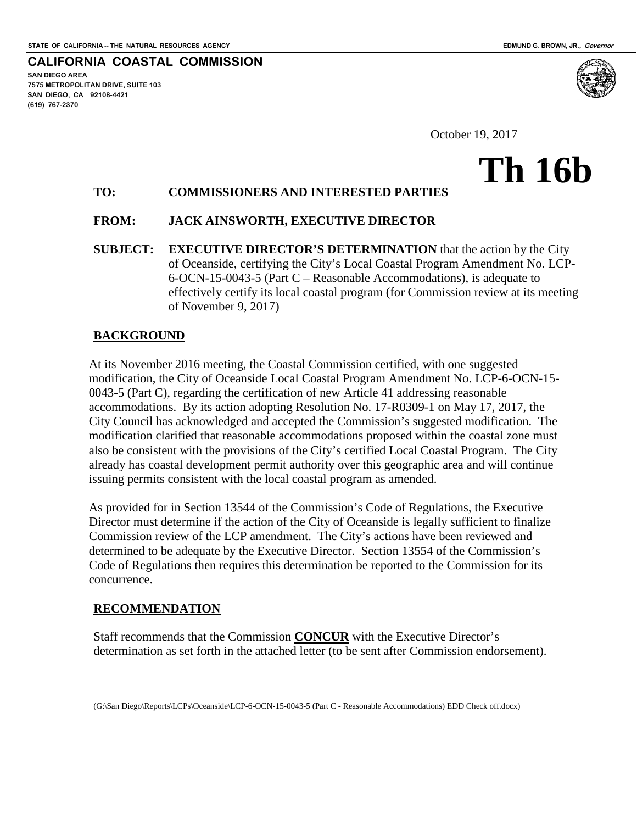**SAN DIEGO AREA**

**(619) 767-2370**

**7575 METROPOLITAN DRIVE, SUITE 103 SAN DIEGO, CA 92108-4421**

**CALIFORNIA COASTAL COMMISSION**

**Th 16b**

October 19, 2017

# **TO: COMMISSIONERS AND INTERESTED PARTIES**

### **FROM: JACK AINSWORTH, EXECUTIVE DIRECTOR**

**SUBJECT: EXECUTIVE DIRECTOR'S DETERMINATION** that the action by the City of Oceanside, certifying the City's Local Coastal Program Amendment No. LCP-6-OCN-15-0043-5 (Part C – Reasonable Accommodations), is adequate to effectively certify its local coastal program (for Commission review at its meeting of November 9, 2017)

### **BACKGROUND**

At its November 2016 meeting, the Coastal Commission certified, with one suggested modification, the City of Oceanside Local Coastal Program Amendment No. LCP-6-OCN-15- 0043-5 (Part C), regarding the certification of new Article 41 addressing reasonable accommodations. By its action adopting Resolution No. 17-R0309-1 on May 17, 2017, the City Council has acknowledged and accepted the Commission's suggested modification. The modification clarified that reasonable accommodations proposed within the coastal zone must also be consistent with the provisions of the City's certified Local Coastal Program. The City already has coastal development permit authority over this geographic area and will continue issuing permits consistent with the local coastal program as amended.

As provided for in Section 13544 of the Commission's Code of Regulations, the Executive Director must determine if the action of the City of Oceanside is legally sufficient to finalize Commission review of the LCP amendment. The City's actions have been reviewed and determined to be adequate by the Executive Director. Section 13554 of the Commission's Code of Regulations then requires this determination be reported to the Commission for its concurrence.

### **RECOMMENDATION**

Staff recommends that the Commission **CONCUR** with the Executive Director's determination as set forth in the attached letter (to be sent after Commission endorsement).